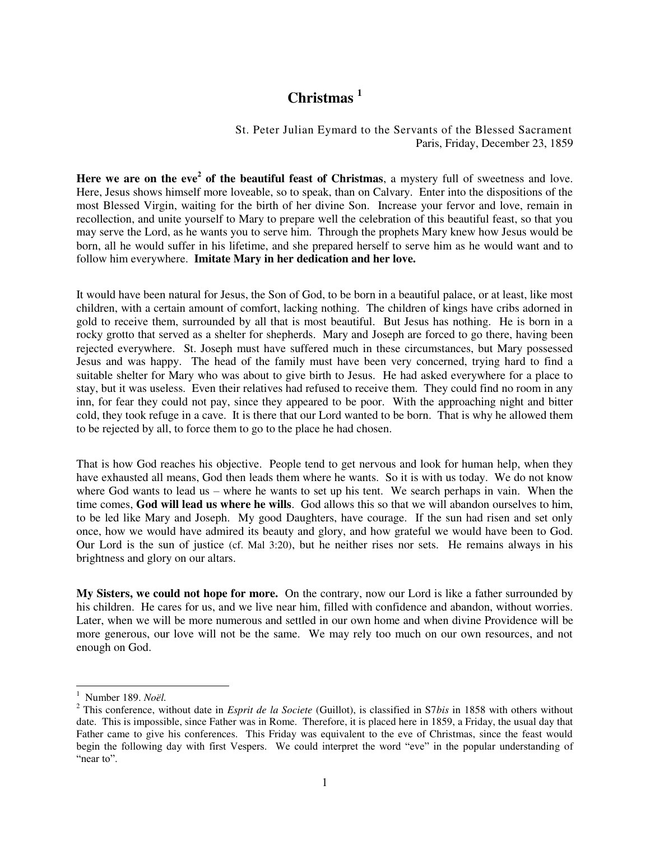## **Christmas <sup>1</sup>**

## St. Peter Julian Eymard to the Servants of the Blessed Sacrament Paris, Friday, December 23, 1859

Here we are on the eve<sup>2</sup> of the beautiful feast of Christmas, a mystery full of sweetness and love. Here, Jesus shows himself more loveable, so to speak, than on Calvary. Enter into the dispositions of the most Blessed Virgin, waiting for the birth of her divine Son. Increase your fervor and love, remain in recollection, and unite yourself to Mary to prepare well the celebration of this beautiful feast, so that you may serve the Lord, as he wants you to serve him. Through the prophets Mary knew how Jesus would be born, all he would suffer in his lifetime, and she prepared herself to serve him as he would want and to follow him everywhere. **Imitate Mary in her dedication and her love.** 

It would have been natural for Jesus, the Son of God, to be born in a beautiful palace, or at least, like most children, with a certain amount of comfort, lacking nothing. The children of kings have cribs adorned in gold to receive them, surrounded by all that is most beautiful. But Jesus has nothing. He is born in a rocky grotto that served as a shelter for shepherds. Mary and Joseph are forced to go there, having been rejected everywhere. St. Joseph must have suffered much in these circumstances, but Mary possessed Jesus and was happy. The head of the family must have been very concerned, trying hard to find a suitable shelter for Mary who was about to give birth to Jesus. He had asked everywhere for a place to stay, but it was useless. Even their relatives had refused to receive them. They could find no room in any inn, for fear they could not pay, since they appeared to be poor. With the approaching night and bitter cold, they took refuge in a cave. It is there that our Lord wanted to be born. That is why he allowed them to be rejected by all, to force them to go to the place he had chosen.

That is how God reaches his objective. People tend to get nervous and look for human help, when they have exhausted all means, God then leads them where he wants. So it is with us today. We do not know where God wants to lead us – where he wants to set up his tent. We search perhaps in vain. When the time comes, **God will lead us where he wills**. God allows this so that we will abandon ourselves to him, to be led like Mary and Joseph. My good Daughters, have courage. If the sun had risen and set only once, how we would have admired its beauty and glory, and how grateful we would have been to God. Our Lord is the sun of justice (cf. Mal 3:20), but he neither rises nor sets. He remains always in his brightness and glory on our altars.

**My Sisters, we could not hope for more.** On the contrary, now our Lord is like a father surrounded by his children. He cares for us, and we live near him, filled with confidence and abandon, without worries. Later, when we will be more numerous and settled in our own home and when divine Providence will be more generous, our love will not be the same. We may rely too much on our own resources, and not enough on God.

 1 Number 189. *Noël.* 

<sup>2</sup> This conference, without date in *Esprit de la Societe* (Guillot), is classified in S7*bis* in 1858 with others without date. This is impossible, since Father was in Rome. Therefore, it is placed here in 1859, a Friday, the usual day that Father came to give his conferences. This Friday was equivalent to the eve of Christmas, since the feast would begin the following day with first Vespers. We could interpret the word "eve" in the popular understanding of "near to".